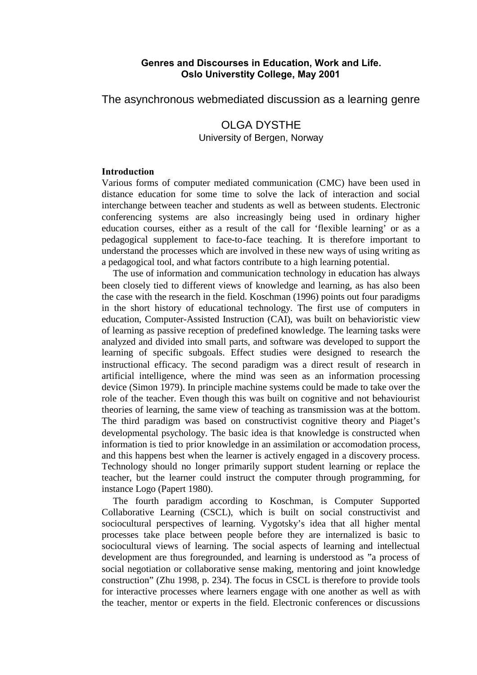## **Genres and Discourses in Education, Work and Life. Oslo Universtity College, May 2001**

The asynchronous webmediated discussion as a learning genre

OLGA DYSTHE University of Bergen, Norway

## **Introduction**

Various forms of computer mediated communication (CMC) have been used in distance education for some time to solve the lack of interaction and social interchange between teacher and students as well as between students. Electronic conferencing systems are also increasingly being used in ordinary higher education courses, either as a result of the call for 'flexible learning' or as a pedagogical supplement to face-to-face teaching. It is therefore important to understand the processes which are involved in these new ways of using writing as a pedagogical tool, and what factors contribute to a high learning potential.

The use of information and communication technology in education has always been closely tied to different views of knowledge and learning, as has also been the case with the research in the field. Koschman (1996) points out four paradigms in the short history of educational technology. The first use of computers in education, Computer-Assisted Instruction (CAI), was built on behavioristic view of learning as passive reception of predefined knowledge. The learning tasks were analyzed and divided into small parts, and software was developed to support the learning of specific subgoals. Effect studies were designed to research the instructional efficacy. The second paradigm was a direct result of research in artificial intelligence, where the mind was seen as an information processing device (Simon 1979). In principle machine systems could be made to take over the role of the teacher. Even though this was built on cognitive and not behaviourist theories of learning, the same view of teaching as transmission was at the bottom. The third paradigm was based on constructivist cognitive theory and Piaget's developmental psychology. The basic idea is that knowledge is constructed when information is tied to prior knowledge in an assimilation or accomodation process, and this happens best when the learner is actively engaged in a discovery process. Technology should no longer primarily support student learning or replace the teacher, but the learner could instruct the computer through programming, for instance Logo (Papert 1980).

The fourth paradigm according to Koschman, is Computer Supported Collaborative Learning (CSCL), which is built on social constructivist and sociocultural perspectives of learning. Vygotsky's idea that all higher mental processes take place between people before they are internalized is basic to sociocultural views of learning. The social aspects of learning and intellectual development are thus foregrounded, and learning is understood as "a process of social negotiation or collaborative sense making, mentoring and joint knowledge construction" (Zhu 1998, p. 234). The focus in CSCL is therefore to provide tools for interactive processes where learners engage with one another as well as with the teacher, mentor or experts in the field. Electronic conferences or discussions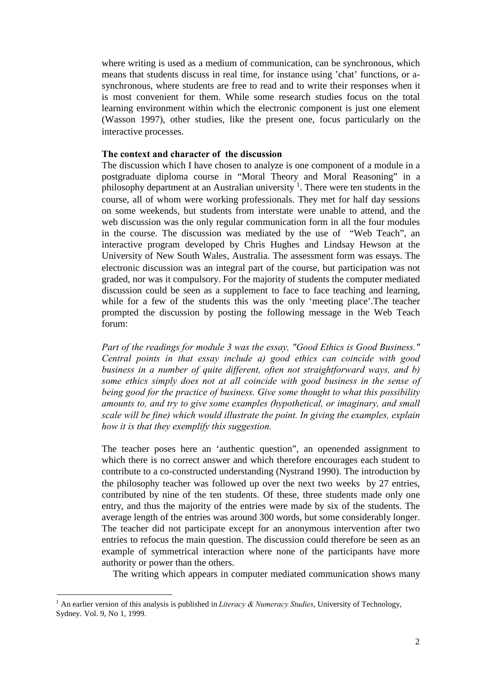where writing is used as a medium of communication, can be synchronous, which means that students discuss in real time, for instance using 'chat' functions, or asynchronous, where students are free to read and to write their responses when it is most convenient for them. While some research studies focus on the total learning environment within which the electronic component is just one element (Wasson 1997), other studies, like the present one, focus particularly on the interactive processes.

## **The context and character of the discussion**

The discussion which I have chosen to analyze is one component of a module in a postgraduate diploma course in "Moral Theory and Moral Reasoning" in a  $p$ hilosophy department at an Australian university  $\frac{1}{p}$ . There were ten students in the course, all of whom were working professionals. They met for half day sessions on some weekends, but students from interstate were unable to attend, and the web discussion was the only regular communication form in all the four modules in the course. The discussion was mediated by the use of "Web Teach", an interactive program developed by Chris Hughes and Lindsay Hewson at the University of New South Wales, Australia. The assessment form was essays. The electronic discussion was an integral part of the course, but participation was not graded, nor was it compulsory. For the majority of students the computer mediated discussion could be seen as a supplement to face to face teaching and learning, while for a few of the students this was the only 'meeting place'.The teacher prompted the discussion by posting the following message in the Web Teach forum:

*Part of the readings for module 3 was the essay, "Good Ethics is Good Business." Central points in that essay include a) good ethics can coincide with good business in a number of quite different, often not straightforward ways, and b) some ethics simply does not at all coincide with good business in the sense of being good for the practice of business. Give some thought to what this possibility amounts to, and try to give some examples (hypothetical, or imaginary, and small scale will be fine) which would illustrate the point. In giving the examples, explain how it is that they exemplify this suggestion.*

The teacher poses here an 'authentic question", an openended assignment to which there is no correct answer and which therefore encourages each student to contribute to a co-constructed understanding (Nystrand 1990). The introduction by the philosophy teacher was followed up over the next two weeks by 27 entries, contributed by nine of the ten students. Of these, three students made only one entry, and thus the majority of the entries were made by six of the students. The average length of the entries was around 300 words, but some considerably longer. The teacher did not participate except for an anonymous intervention after two entries to refocus the main question. The discussion could therefore be seen as an example of symmetrical interaction where none of the participants have more authority or power than the others.

The writing which appears in computer mediated communication shows many

<sup>&</sup>lt;sup>1</sup> An earlier version of this analysis is published in *Literacy & Numeracy Studies*, University of Technology, Sydney. Vol. 9, No 1, 1999.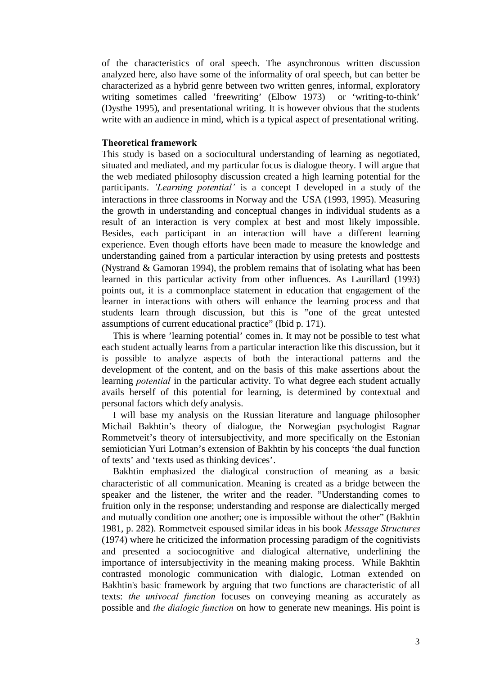of the characteristics of oral speech. The asynchronous written discussion analyzed here, also have some of the informality of oral speech, but can better be characterized as a hybrid genre between two written genres, informal, exploratory writing sometimes called 'freewriting' (Elbow 1973) or 'writing-to-think' (Dysthe 1995), and presentational writing. It is however obvious that the students write with an audience in mind, which is a typical aspect of presentational writing.

## **Theoretical framework**

This study is based on a sociocultural understanding of learning as negotiated, situated and mediated, and my particular focus is dialogue theory. I will argue that the web mediated philosophy discussion created a high learning potential for the participants. *'Learning potential'* is a concept I developed in a study of the interactions in three classrooms in Norway and the USA (1993, 1995). Measuring the growth in understanding and conceptual changes in individual students as a result of an interaction is very complex at best and most likely impossible. Besides, each participant in an interaction will have a different learning experience. Even though efforts have been made to measure the knowledge and understanding gained from a particular interaction by using pretests and posttests (Nystrand & Gamoran 1994), the problem remains that of isolating what has been learned in this particular activity from other influences. As Laurillard (1993) points out, it is a commonplace statement in education that engagement of the learner in interactions with others will enhance the learning process and that students learn through discussion, but this is "one of the great untested assumptions of current educational practice" (Ibid p. 171).

This is where 'learning potential' comes in. It may not be possible to test what each student actually learns from a particular interaction like this discussion, but it is possible to analyze aspects of both the interactional patterns and the development of the content, and on the basis of this make assertions about the learning *potential* in the particular activity. To what degree each student actually avails herself of this potential for learning, is determined by contextual and personal factors which defy analysis.

I will base my analysis on the Russian literature and language philosopher Michail Bakhtin's theory of dialogue, the Norwegian psychologist Ragnar Rommetveit's theory of intersubjectivity, and more specifically on the Estonian semiotician Yuri Lotman's extension of Bakhtin by his concepts 'the dual function of texts' and 'texts used as thinking devices'.

Bakhtin emphasized the dialogical construction of meaning as a basic characteristic of all communication. Meaning is created as a bridge between the speaker and the listener, the writer and the reader. "Understanding comes to fruition only in the response; understanding and response are dialectically merged and mutually condition one another; one is impossible without the other" (Bakhtin 1981, p. 282). Rommetveit espoused similar ideas in his book *Message Structures* (1974) where he criticized the information processing paradigm of the cognitivists and presented a sociocognitive and dialogical alternative, underlining the importance of intersubjectivity in the meaning making process. While Bakhtin contrasted monologic communication with dialogic, Lotman extended on Bakhtin's basic framework by arguing that two functions are characteristic of all texts: *the univocal function* focuses on conveying meaning as accurately as possible and *the dialogic function* on how to generate new meanings. His point is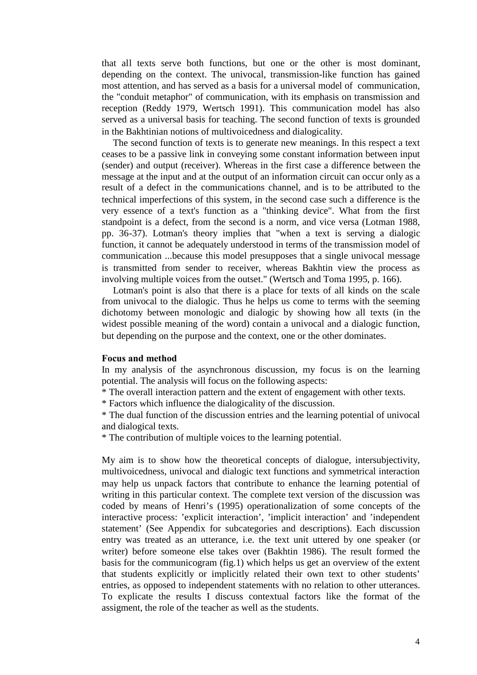that all texts serve both functions, but one or the other is most dominant, depending on the context. The univocal, transmission-like function has gained most attention, and has served as a basis for a universal model of communication, the "conduit metaphor" of communication, with its emphasis on transmission and reception (Reddy 1979, Wertsch 1991). This communication model has also served as a universal basis for teaching. The second function of texts is grounded in the Bakhtinian notions of multivoicedness and dialogicality.

The second function of texts is to generate new meanings. In this respect a text ceases to be a passive link in conveying some constant information between input (sender) and output (receiver). Whereas in the first case a difference between the message at the input and at the output of an information circuit can occur only as a result of a defect in the communications channel, and is to be attributed to the technical imperfections of this system, in the second case such a difference is the very essence of a text's function as a "thinking device". What from the first standpoint is a defect, from the second is a norm, and vice versa (Lotman 1988, pp. 36-37). Lotman's theory implies that "when a text is serving a dialogic function, it cannot be adequately understood in terms of the transmission model of communication ...because this model presupposes that a single univocal message is transmitted from sender to receiver, whereas Bakhtin view the process as involving multiple voices from the outset." (Wertsch and Toma 1995, p. 166).

Lotman's point is also that there is a place for texts of all kinds on the scale from univocal to the dialogic. Thus he helps us come to terms with the seeming dichotomy between monologic and dialogic by showing how all texts (in the widest possible meaning of the word) contain a univocal and a dialogic function, but depending on the purpose and the context, one or the other dominates.

#### **Focus and method**

In my analysis of the asynchronous discussion, my focus is on the learning potential. The analysis will focus on the following aspects:

\* The overall interaction pattern and the extent of engagement with other texts.

\* Factors which influence the dialogicality of the discussion.

\* The dual function of the discussion entries and the learning potential of univocal and dialogical texts.

\* The contribution of multiple voices to the learning potential.

My aim is to show how the theoretical concepts of dialogue, intersubjectivity, multivoicedness, univocal and dialogic text functions and symmetrical interaction may help us unpack factors that contribute to enhance the learning potential of writing in this particular context. The complete text version of the discussion was coded by means of Henri's (1995) operationalization of some concepts of the interactive process: 'explicit interaction', 'implicit interaction' and 'independent statement' (See Appendix for subcategories and descriptions). Each discussion entry was treated as an utterance, i.e. the text unit uttered by one speaker (or writer) before someone else takes over (Bakhtin 1986). The result formed the basis for the communicogram (fig.1) which helps us get an overview of the extent that students explicitly or implicitly related their own text to other students' entries, as opposed to independent statements with no relation to other utterances. To explicate the results I discuss contextual factors like the format of the assigment, the role of the teacher as well as the students.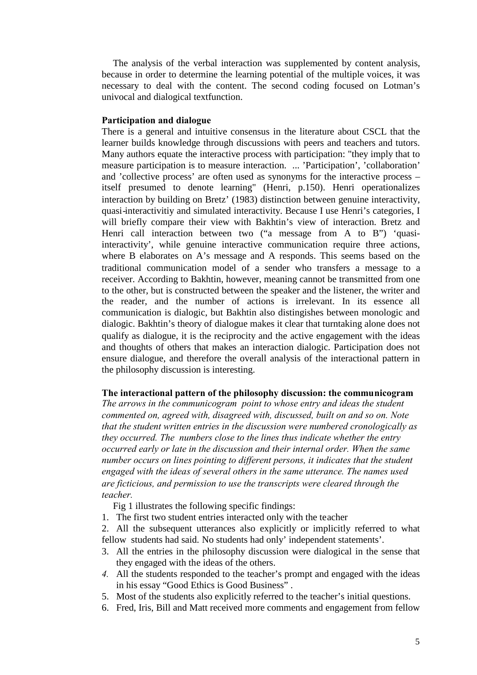The analysis of the verbal interaction was supplemented by content analysis, because in order to determine the learning potential of the multiple voices, it was necessary to deal with the content. The second coding focused on Lotman's univocal and dialogical textfunction.

## **Participation and dialogue**

There is a general and intuitive consensus in the literature about CSCL that the learner builds knowledge through discussions with peers and teachers and tutors. Many authors equate the interactive process with participation: "they imply that to measure participation is to measure interaction. ... 'Participation', 'collaboration' and 'collective process' are often used as synonyms for the interactive process – itself presumed to denote learning" (Henri, p.150). Henri operationalizes interaction by building on Bretz' (1983) distinction between genuine interactivity, quasi-interactivitiy and simulated interactivity. Because I use Henri's categories, I will briefly compare their view with Bakhtin's view of interaction. Bretz and Henri call interaction between two ("a message from A to B") 'quasiinteractivity', while genuine interactive communication require three actions, where B elaborates on A's message and A responds. This seems based on the traditional communication model of a sender who transfers a message to a receiver. According to Bakhtin, however, meaning cannot be transmitted from one to the other, but is constructed between the speaker and the listener, the writer and the reader, and the number of actions is irrelevant. In its essence all communication is dialogic, but Bakhtin also distingishes between monologic and dialogic. Bakhtin's theory of dialogue makes it clear that turntaking alone does not qualify as dialogue, it is the reciprocity and the active engagement with the ideas and thoughts of others that makes an interaction dialogic. Participation does not ensure dialogue, and therefore the overall analysis of the interactional pattern in the philosophy discussion is interesting.

## **The interactional pattern of the philosophy discussion: the communicogram**

*The arrows in the communicogram point to whose entry and ideas the student commented on, agreed with, disagreed with, discussed, built on and so on. Note that the student written entries in the discussion were numbered cronologically as they occurred. The numbers close to the lines thus indicate whether the entry occurred early or late in the discussion and their internal order. When the same number occurs on lines pointing to different persons, it indicates that the student engaged with the ideas of several others in the same utterance. The names used are ficticious, and permission to use the transcripts were cleared through the teacher.*

Fig 1 illustrates the following specific findings:

- 1. The first two student entries interacted only with the teacher
- 2. All the subsequent utterances also explicitly or implicitly referred to what fellow students had said. No students had only' independent statements'.
- 3. All the entries in the philosophy discussion were dialogical in the sense that they engaged with the ideas of the others.
- *4.* All the students responded to the teacher's prompt and engaged with the ideas in his essay "Good Ethics is Good Business" .
- 5. Most of the students also explicitly referred to the teacher's initial questions.
- 6. Fred, Iris, Bill and Matt received more comments and engagement from fellow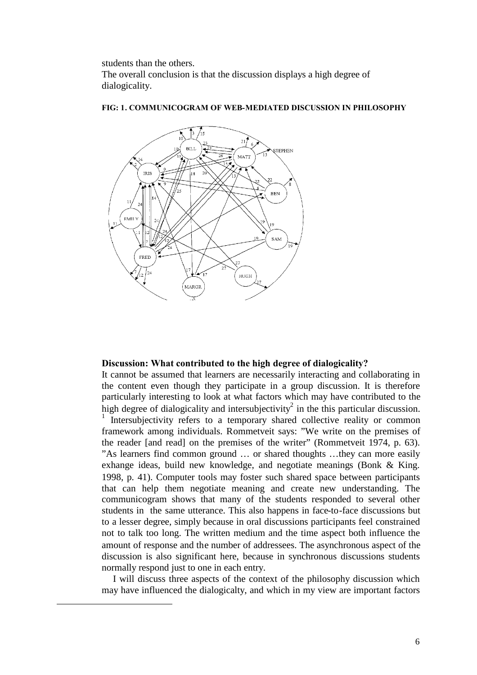students than the others.

The overall conclusion is that the discussion displays a high degree of dialogicality.



#### **FIG: 1. COMMUNICOGRAM OF WEB-MEDIATED DISCUSSION IN PHILOSOPHY**

#### **Discussion: What contributed to the high degree of dialogicality?**

It cannot be assumed that learners are necessarily interacting and collaborating in the content even though they participate in a group discussion. It is therefore particularly interesting to look at what factors which may have contributed to the high degree of dialogicality and intersubjectivity<sup>2</sup> in the this particular discussion. 1

Intersubjectivity refers to a temporary shared collective reality or common framework among individuals. Rommetveit says: "We write on the premises of the reader [and read] on the premises of the writer" (Rommetveit 1974, p. 63). "As learners find common ground … or shared thoughts …they can more easily exhange ideas, build new knowledge, and negotiate meanings (Bonk & King. 1998, p. 41). Computer tools may foster such shared space between participants that can help them negotiate meaning and create new understanding. The communicogram shows that many of the students responded to several other students in the same utterance. This also happens in face-to-face discussions but to a lesser degree, simply because in oral discussions participants feel constrained not to talk too long. The written medium and the time aspect both influence the amount of response and the number of addressees. The asynchronous aspect of the discussion is also significant here, because in synchronous discussions students normally respond just to one in each entry.

I will discuss three aspects of the context of the philosophy discussion which may have influenced the dialogicalty, and which in my view are important factors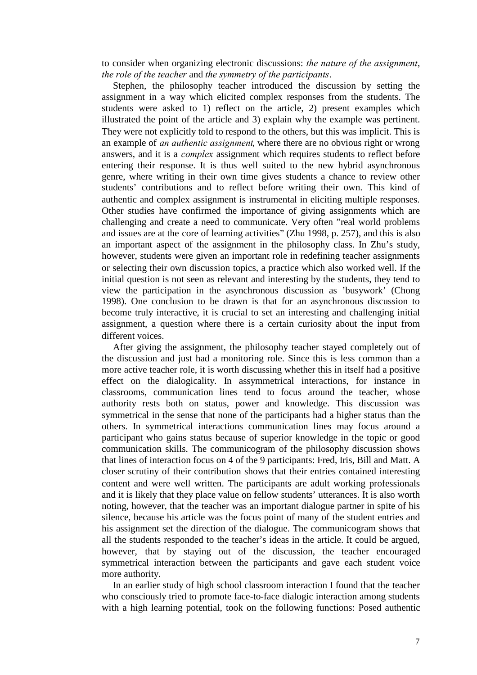to consider when organizing electronic discussions: *the nature of the assignment*, *the role of the teacher* and *the symmetry of the participants*.

Stephen, the philosophy teacher introduced the discussion by setting the assignment in a way which elicited complex responses from the students. The students were asked to 1) reflect on the article, 2) present examples which illustrated the point of the article and 3) explain why the example was pertinent. They were not explicitly told to respond to the others, but this was implicit. This is an example of *an authentic assignment*, where there are no obvious right or wrong answers, and it is a *complex* assignment which requires students to reflect before entering their response. It is thus well suited to the new hybrid asynchronous genre, where writing in their own time gives students a chance to review other students' contributions and to reflect before writing their own. This kind of authentic and complex assignment is instrumental in eliciting multiple responses. Other studies have confirmed the importance of giving assignments which are challenging and create a need to communicate. Very often "real world problems and issues are at the core of learning activities" (Zhu 1998, p. 257), and this is also an important aspect of the assignment in the philosophy class. In Zhu's study, however, students were given an important role in redefining teacher assignments or selecting their own discussion topics, a practice which also worked well. If the initial question is not seen as relevant and interesting by the students, they tend to view the participation in the asynchronous discussion as 'busywork' (Chong 1998). One conclusion to be drawn is that for an asynchronous discussion to become truly interactive, it is crucial to set an interesting and challenging initial assignment, a question where there is a certain curiosity about the input from different voices.

After giving the assignment, the philosophy teacher stayed completely out of the discussion and just had a monitoring role. Since this is less common than a more active teacher role, it is worth discussing whether this in itself had a positive effect on the dialogicality. In assymmetrical interactions, for instance in classrooms, communication lines tend to focus around the teacher, whose authority rests both on status, power and knowledge. This discussion was symmetrical in the sense that none of the participants had a higher status than the others. In symmetrical interactions communication lines may focus around a participant who gains status because of superior knowledge in the topic or good communication skills. The communicogram of the philosophy discussion shows that lines of interaction focus on 4 of the 9 participants: Fred, Iris, Bill and Matt. A closer scrutiny of their contribution shows that their entries contained interesting content and were well written. The participants are adult working professionals and it is likely that they place value on fellow students' utterances. It is also worth noting, however, that the teacher was an important dialogue partner in spite of his silence, because his article was the focus point of many of the student entries and his assignment set the direction of the dialogue. The communicogram shows that all the students responded to the teacher's ideas in the article. It could be argued, however, that by staying out of the discussion, the teacher encouraged symmetrical interaction between the participants and gave each student voice more authority.

In an earlier study of high school classroom interaction I found that the teacher who consciously tried to promote face-to-face dialogic interaction among students with a high learning potential, took on the following functions: Posed authentic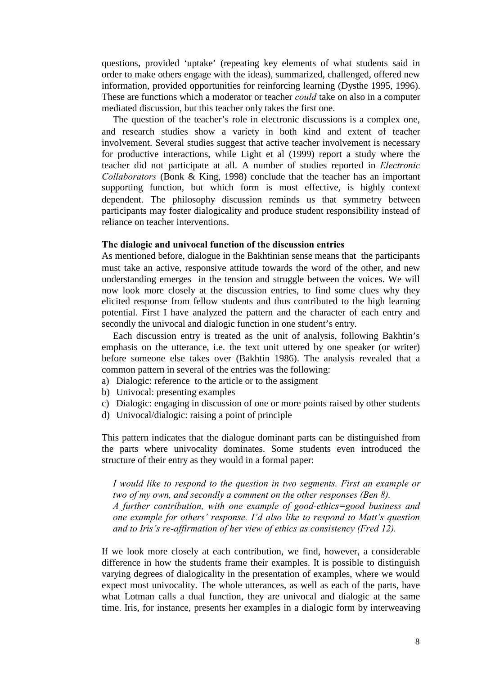questions, provided 'uptake' (repeating key elements of what students said in order to make others engage with the ideas), summarized, challenged, offered new information, provided opportunities for reinforcing learning (Dysthe 1995, 1996). These are functions which a moderator or teacher *could* take on also in a computer mediated discussion, but this teacher only takes the first one.

The question of the teacher's role in electronic discussions is a complex one, and research studies show a variety in both kind and extent of teacher involvement. Several studies suggest that active teacher involvement is necessary for productive interactions, while Light et al (1999) report a study where the teacher did not participate at all. A number of studies reported in *Electronic Collaborators* (Bonk & King, 1998) conclude that the teacher has an important supporting function, but which form is most effective, is highly context dependent. The philosophy discussion reminds us that symmetry between participants may foster dialogicality and produce student responsibility instead of reliance on teacher interventions.

#### **The dialogic and univocal function of the discussion entries**

As mentioned before, dialogue in the Bakhtinian sense means that the participants must take an active, responsive attitude towards the word of the other, and new understanding emerges in the tension and struggle between the voices. We will now look more closely at the discussion entries, to find some clues why they elicited response from fellow students and thus contributed to the high learning potential. First I have analyzed the pattern and the character of each entry and secondly the univocal and dialogic function in one student's entry.

Each discussion entry is treated as the unit of analysis, following Bakhtin's emphasis on the utterance, i.e. the text unit uttered by one speaker (or writer) before someone else takes over (Bakhtin 1986). The analysis revealed that a common pattern in several of the entries was the following:

- a) Dialogic: reference to the article or to the assigment
- b) Univocal: presenting examples
- c) Dialogic: engaging in discussion of one or more points raised by other students
- d) Univocal/dialogic: raising a point of principle

This pattern indicates that the dialogue dominant parts can be distinguished from the parts where univocality dominates. Some students even introduced the structure of their entry as they would in a formal paper:

*I would like to respond to the question in two segments. First an example or two of my own, and secondly a comment on the other responses (Ben 8). A further contribution, with one example of good-ethics=good business and one example for others' response. I'd also like to respond to Matt's question and to Iris's re-affirmation of her view of ethics as consistency (Fred 12).*

If we look more closely at each contribution, we find, however, a considerable difference in how the students frame their examples. It is possible to distinguish varying degrees of dialogicality in the presentation of examples, where we would expect most univocality. The whole utterances, as well as each of the parts, have what Lotman calls a dual function, they are univocal and dialogic at the same time. Iris, for instance, presents her examples in a dialogic form by interweaving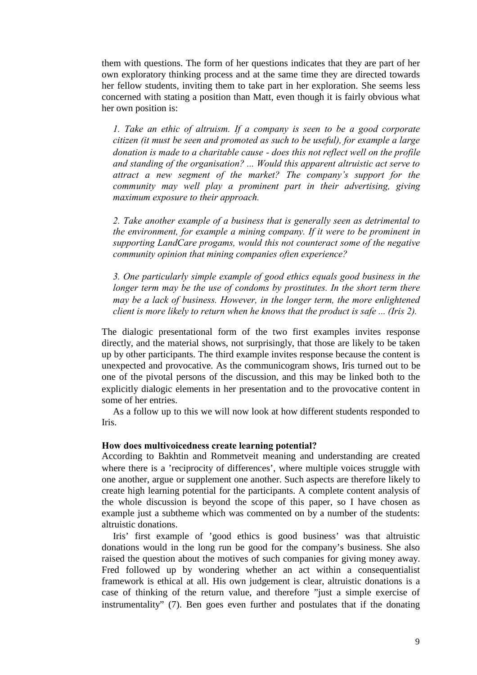them with questions. The form of her questions indicates that they are part of her own exploratory thinking process and at the same time they are directed towards her fellow students, inviting them to take part in her exploration. She seems less concerned with stating a position than Matt, even though it is fairly obvious what her own position is:

*1. Take an ethic of altruism. If a company is seen to be a good corporate citizen (it must be seen and promoted as such to be useful), for example a large donation is made to a charitable cause - does this not reflect well on the profile and standing of the organisation? ... Would this apparent altruistic act serve to attract a new segment of the market? The company's support for the community may well play a prominent part in their advertising, giving maximum exposure to their approach.*

*2. Take another example of a business that is generally seen as detrimental to the environment, for example a mining company. If it were to be prominent in supporting LandCare progams, would this not counteract some of the negative community opinion that mining companies often experience?*

*3. One particularly simple example of good ethics equals good business in the longer term may be the use of condoms by prostitutes. In the short term there may be a lack of business. However, in the longer term, the more enlightened client is more likely to return when he knows that the product is safe ... (Iris 2).*

The dialogic presentational form of the two first examples invites response directly, and the material shows, not surprisingly, that those are likely to be taken up by other participants. The third example invites response because the content is unexpected and provocative. As the communicogram shows, Iris turned out to be one of the pivotal persons of the discussion, and this may be linked both to the explicitly dialogic elements in her presentation and to the provocative content in some of her entries.

As a follow up to this we will now look at how different students responded to Iris.

## **How does multivoicedness create learning potential?**

According to Bakhtin and Rommetveit meaning and understanding are created where there is a 'reciprocity of differences', where multiple voices struggle with one another, argue or supplement one another. Such aspects are therefore likely to create high learning potential for the participants. A complete content analysis of the whole discussion is beyond the scope of this paper, so I have chosen as example just a subtheme which was commented on by a number of the students: altruistic donations.

Iris' first example of 'good ethics is good business' was that altruistic donations would in the long run be good for the company's business. She also raised the question about the motives of such companies for giving money away. Fred followed up by wondering whether an act within a consequentialist framework is ethical at all. His own judgement is clear, altruistic donations is a case of thinking of the return value, and therefore "just a simple exercise of instrumentality" (7). Ben goes even further and postulates that if the donating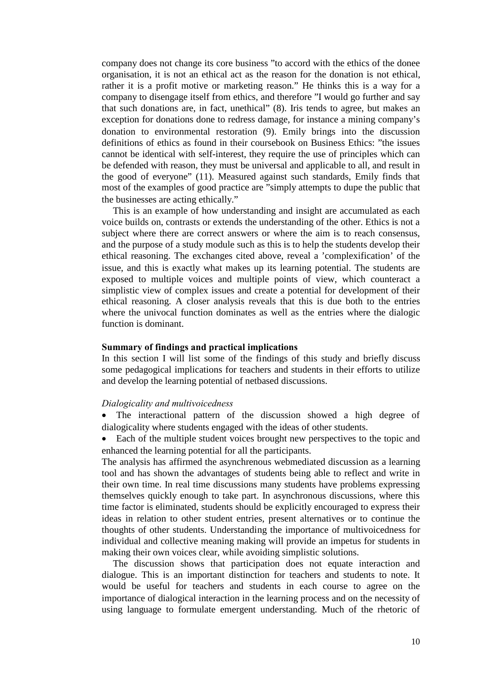company does not change its core business "to accord with the ethics of the donee organisation, it is not an ethical act as the reason for the donation is not ethical, rather it is a profit motive or marketing reason." He thinks this is a way for a company to disengage itself from ethics, and therefore "I would go further and say that such donations are, in fact, unethical" (8). Iris tends to agree, but makes an exception for donations done to redress damage, for instance a mining company's donation to environmental restoration (9). Emily brings into the discussion definitions of ethics as found in their coursebook on Business Ethics: "the issues cannot be identical with self-interest, they require the use of principles which can be defended with reason, they must be universal and applicable to all, and result in the good of everyone" (11). Measured against such standards, Emily finds that most of the examples of good practice are "simply attempts to dupe the public that the businesses are acting ethically."

This is an example of how understanding and insight are accumulated as each voice builds on, contrasts or extends the understanding of the other. Ethics is not a subject where there are correct answers or where the aim is to reach consensus, and the purpose of a study module such as this is to help the students develop their ethical reasoning. The exchanges cited above, reveal a 'complexification' of the issue, and this is exactly what makes up its learning potential. The students are exposed to multiple voices and multiple points of view, which counteract a simplistic view of complex issues and create a potential for development of their ethical reasoning. A closer analysis reveals that this is due both to the entries where the univocal function dominates as well as the entries where the dialogic function is dominant.

# **Summary of findings and practical implications**

In this section I will list some of the findings of this study and briefly discuss some pedagogical implications for teachers and students in their efforts to utilize and develop the learning potential of netbased discussions.

#### *Dialogicality and multivoicedness*

- The interactional pattern of the discussion showed a high degree of dialogicality where students engaged with the ideas of other students.
- Each of the multiple student voices brought new perspectives to the topic and enhanced the learning potential for all the participants.

The analysis has affirmed the asynchrenous webmediated discussion as a learning tool and has shown the advantages of students being able to reflect and write in their own time. In real time discussions many students have problems expressing themselves quickly enough to take part. In asynchronous discussions, where this time factor is eliminated, students should be explicitly encouraged to express their ideas in relation to other student entries, present alternatives or to continue the thoughts of other students. Understanding the importance of multivoicedness for individual and collective meaning making will provide an impetus for students in making their own voices clear, while avoiding simplistic solutions.

The discussion shows that participation does not equate interaction and dialogue. This is an important distinction for teachers and students to note. It would be useful for teachers and students in each course to agree on the importance of dialogical interaction in the learning process and on the necessity of using language to formulate emergent understanding. Much of the rhetoric of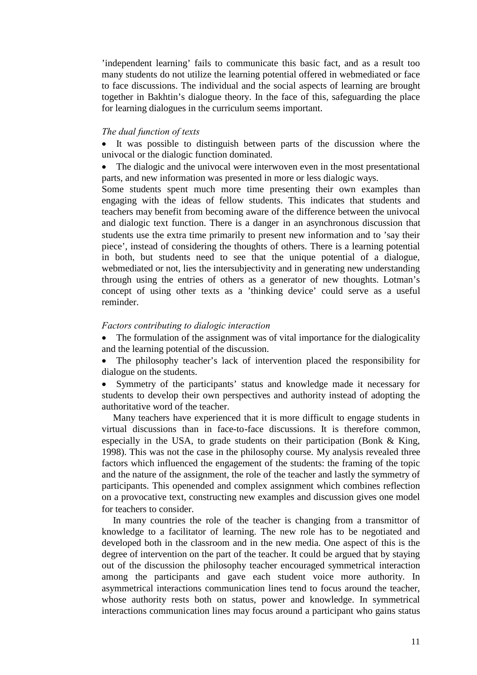'independent learning' fails to communicate this basic fact, and as a result too many students do not utilize the learning potential offered in webmediated or face to face discussions. The individual and the social aspects of learning are brought together in Bakhtin's dialogue theory. In the face of this, safeguarding the place for learning dialogues in the curriculum seems important.

#### *The dual function of texts*

 It was possible to distinguish between parts of the discussion where the univocal or the dialogic function dominated.

• The dialogic and the univocal were interwoven even in the most presentational parts, and new information was presented in more or less dialogic ways.

Some students spent much more time presenting their own examples than engaging with the ideas of fellow students. This indicates that students and teachers may benefit from becoming aware of the difference between the univocal and dialogic text function. There is a danger in an asynchronous discussion that students use the extra time primarily to present new information and to 'say their piece', instead of considering the thoughts of others. There is a learning potential in both, but students need to see that the unique potential of a dialogue, webmediated or not, lies the intersubjectivity and in generating new understanding through using the entries of others as a generator of new thoughts. Lotman's concept of using other texts as a 'thinking device' could serve as a useful reminder.

#### *Factors contributing to dialogic interaction*

 The formulation of the assignment was of vital importance for the dialogicality and the learning potential of the discussion.

 The philosophy teacher's lack of intervention placed the responsibility for dialogue on the students.

 Symmetry of the participants' status and knowledge made it necessary for students to develop their own perspectives and authority instead of adopting the authoritative word of the teacher.

Many teachers have experienced that it is more difficult to engage students in virtual discussions than in face-to-face discussions. It is therefore common, especially in the USA, to grade students on their participation (Bonk & King, 1998). This was not the case in the philosophy course. My analysis revealed three factors which influenced the engagement of the students: the framing of the topic and the nature of the assignment, the role of the teacher and lastly the symmetry of participants. This openended and complex assignment which combines reflection on a provocative text, constructing new examples and discussion gives one model for teachers to consider.

In many countries the role of the teacher is changing from a transmittor of knowledge to a facilitator of learning. The new role has to be negotiated and developed both in the classroom and in the new media. One aspect of this is the degree of intervention on the part of the teacher. It could be argued that by staying out of the discussion the philosophy teacher encouraged symmetrical interaction among the participants and gave each student voice more authority. In asymmetrical interactions communication lines tend to focus around the teacher, whose authority rests both on status, power and knowledge. In symmetrical interactions communication lines may focus around a participant who gains status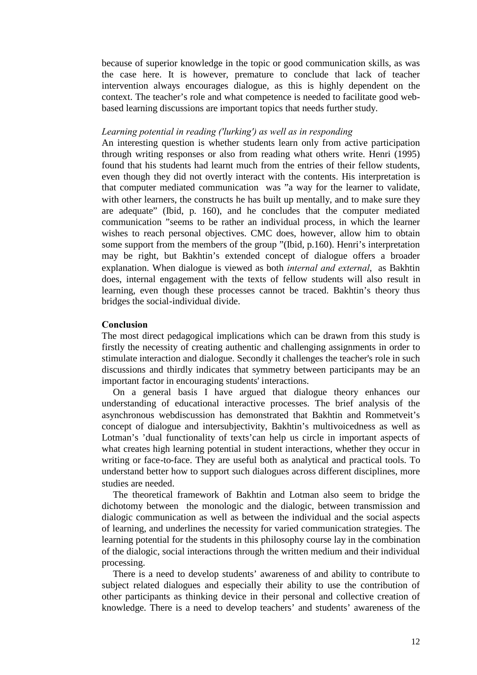because of superior knowledge in the topic or good communication skills, as was the case here. It is however, premature to conclude that lack of teacher intervention always encourages dialogue, as this is highly dependent on the context. The teacher's role and what competence is needed to facilitate good webbased learning discussions are important topics that needs further study.

#### *Learning potential in reading ('lurking') as well as in responding*

An interesting question is whether students learn only from active participation through writing responses or also from reading what others write. Henri (1995) found that his students had learnt much from the entries of their fellow students, even though they did not overtly interact with the contents. His interpretation is that computer mediated communication was "a way for the learner to validate, with other learners, the constructs he has built up mentally, and to make sure they are adequate" (Ibid, p. 160), and he concludes that the computer mediated communication "seems to be rather an individual process, in which the learner wishes to reach personal objectives. CMC does, however, allow him to obtain some support from the members of the group "(Ibid, p.160). Henri's interpretation may be right, but Bakhtin's extended concept of dialogue offers a broader explanation. When dialogue is viewed as both *internal and external*, as Bakhtin does, internal engagement with the texts of fellow students will also result in learning, even though these processes cannot be traced. Bakhtin's theory thus bridges the social-individual divide.

## **Conclusion**

The most direct pedagogical implications which can be drawn from this study is firstly the necessity of creating authentic and challenging assignments in order to stimulate interaction and dialogue. Secondly it challenges the teacher's role in such discussions and thirdly indicates that symmetry between participants may be an important factor in encouraging students' interactions.

On a general basis I have argued that dialogue theory enhances our understanding of educational interactive processes. The brief analysis of the asynchronous webdiscussion has demonstrated that Bakhtin and Rommetveit's concept of dialogue and intersubjectivity, Bakhtin's multivoicedness as well as Lotman's 'dual functionality of texts'can help us circle in important aspects of what creates high learning potential in student interactions, whether they occur in writing or face-to-face. They are useful both as analytical and practical tools. To understand better how to support such dialogues across different disciplines, more studies are needed.

The theoretical framework of Bakhtin and Lotman also seem to bridge the dichotomy between the monologic and the dialogic, between transmission and dialogic communication as well as between the individual and the social aspects of learning, and underlines the necessity for varied communication strategies. The learning potential for the students in this philosophy course lay in the combination of the dialogic, social interactions through the written medium and their individual processing.

There is a need to develop students' awareness of and ability to contribute to subject related dialogues and especially their ability to use the contribution of other participants as thinking device in their personal and collective creation of knowledge. There is a need to develop teachers' and students' awareness of the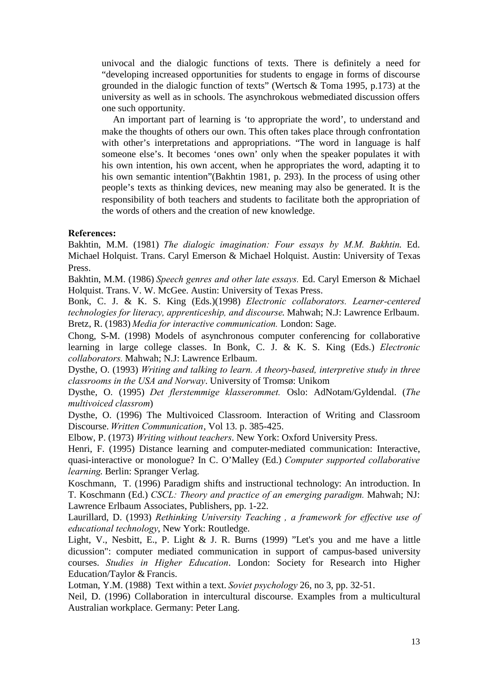univocal and the dialogic functions of texts. There is definitely a need for "developing increased opportunities for students to engage in forms of discourse grounded in the dialogic function of texts" (Wertsch & Toma 1995, p.173) at the university as well as in schools. The asynchrokous webmediated discussion offers one such opportunity.

An important part of learning is 'to appropriate the word', to understand and make the thoughts of others our own. This often takes place through confrontation with other's interpretations and appropriations. "The word in language is half someone else's. It becomes 'ones own' only when the speaker populates it with his own intention, his own accent, when he appropriates the word, adapting it to his own semantic intention"(Bakhtin 1981, p. 293). In the process of using other people's texts as thinking devices, new meaning may also be generated. It is the responsibility of both teachers and students to facilitate both the appropriation of the words of others and the creation of new knowledge.

## **References:**

Bakhtin, M.M. (1981) *The dialogic imagination: Four essays by M.M. Bakhtin*. Ed. Michael Holquist. Trans. Caryl Emerson & Michael Holquist. Austin: University of Texas Press.

Bakhtin, M.M. (1986) *Speech genres and other late essays.* Ed. Caryl Emerson & Michael Holquist. Trans. V. W. McGee. Austin: University of Texas Press.

Bonk, C. J. & K. S. King (Eds.)(1998) *Electronic collaborators. Learner-centered technologies for literacy, apprenticeship, and discourse*. Mahwah; N.J: Lawrence Erlbaum. Bretz, R. (1983) *Media for interactive communication.* London: Sage.

Chong, S-M. (1998) Models of asynchronous computer conferencing for collaborative learning in large college classes. In Bonk, C. J. & K. S. King (Eds.) *Electronic collaborators.* Mahwah; N.J: Lawrence Erlbaum.

Dysthe, O. (1993) *Writing and talking to learn. A theory-based, interpretive study in three classrooms in the USA and Norway*. University of Tromsø: Unikom

Dysthe, O. (1995) *Det flerstemmige klasserommet.* Oslo: AdNotam/Gyldendal. (*The multivoiced classrom*)

Dysthe, O. (1996) The Multivoiced Classroom. Interaction of Writing and Classroom Discourse. *Written Communication*, Vol 13. p. 385-425.

Elbow, P. (1973) *Writing without teachers*. New York: Oxford University Press.

Henri, F. (1995) Distance learning and computer-mediated communication: Interactive, quasi-interactive or monologue? In C. O'Malley (Ed.) *Computer supported collaborative learning*. Berlin: Spranger Verlag.

Koschmann, T. (1996) Paradigm shifts and instructional technology: An introduction. In T. Koschmann (Ed.) *CSCL: Theory and practice of an emerging paradigm.* Mahwah; NJ: Lawrence Erlbaum Associates, Publishers, pp. 1-22.

Laurillard, D. (1993) *Rethinking University Teaching , a framework for effective use of educational technology*, New York: Routledge.

Light, V., Nesbitt, E., P. Light & J. R. Burns (1999) "Let's you and me have a little dicussion": computer mediated communication in support of campus-based university courses. *Studies in Higher Education*. London: Society for Research into Higher Education/Taylor & Francis.

Lotman, Y.M. (1988) Text within a text. *Soviet psychology* 26, no 3, pp. 32-51.

Neil, D. (1996) Collaboration in intercultural discourse. Examples from a multicultural Australian workplace. Germany: Peter Lang.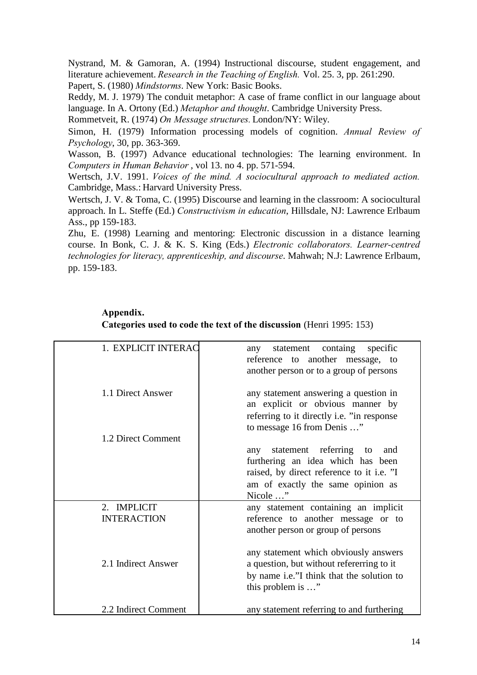Nystrand, M. & Gamoran, A. (1994) Instructional discourse, student engagement, and literature achievement. *Research in the Teaching of English.* Vol. 25. 3, pp. 261:290.

Papert, S. (1980) *Mindstorms*. New York: Basic Books.

Reddy, M. J. 1979) The conduit metaphor: A case of frame conflict in our language about language. In A. Ortony (Ed.) *Metaphor and thought*. Cambridge University Press.

Rommetveit, R. (1974) *On Message structures.* London/NY: Wiley.

Simon, H. (1979) Information processing models of cognition. *Annual Review of Psychology*, 30, pp. 363-369.

Wasson, B. (1997) Advance educational technologies: The learning environment. In *Computers in Human Behavior* , vol 13. no 4. pp. 571-594.

Wertsch, J.V. 1991. *Voices of the mind. A sociocultural approach to mediated action.* Cambridge, Mass.: Harvard University Press.

Wertsch, J. V. & Toma, C. (1995) Discourse and learning in the classroom: A sociocultural approach. In L. Steffe (Ed.) *Constructivism in education*, Hillsdale, NJ: Lawrence Erlbaum Ass., pp 159-183.

Zhu, E. (1998) Learning and mentoring: Electronic discussion in a distance learning course. In Bonk, C. J. & K. S. King (Eds.) *Electronic collaborators. Learner-centred technologies for literacy, apprenticeship, and discourse*. Mahwah; N.J: Lawrence Erlbaum, pp. 159-183.

| 1. EXPLICIT INTERAC  | statement containg specific<br>any<br>reference to another message, to<br>another person or to a group of persons                                            |
|----------------------|--------------------------------------------------------------------------------------------------------------------------------------------------------------|
| 1.1 Direct Answer    | any statement answering a question in<br>an explicit or obvious manner by<br>referring to it directly <i>i.e.</i> "in response<br>to message 16 from Denis " |
| 1.2 Direct Comment   |                                                                                                                                                              |
|                      | statement referring to and<br>any                                                                                                                            |
|                      | furthering an idea which has been                                                                                                                            |
|                      | raised, by direct reference to it i.e. "I                                                                                                                    |
|                      | am of exactly the same opinion as                                                                                                                            |
|                      | Nicole "                                                                                                                                                     |
| 2. IMPLICIT          | any statement containing an implicit                                                                                                                         |
| <b>INTERACTION</b>   | reference to another message or to                                                                                                                           |
|                      | another person or group of persons                                                                                                                           |
| 2.1 Indirect Answer  | any statement which obviously answers<br>a question, but without refererring to it<br>by name i.e."I think that the solution to<br>this problem is "         |
| 2.2 Indirect Comment | any statement referring to and furthering                                                                                                                    |

# **Appendix. Categories used to code the text of the discussion** (Henri 1995: 153)